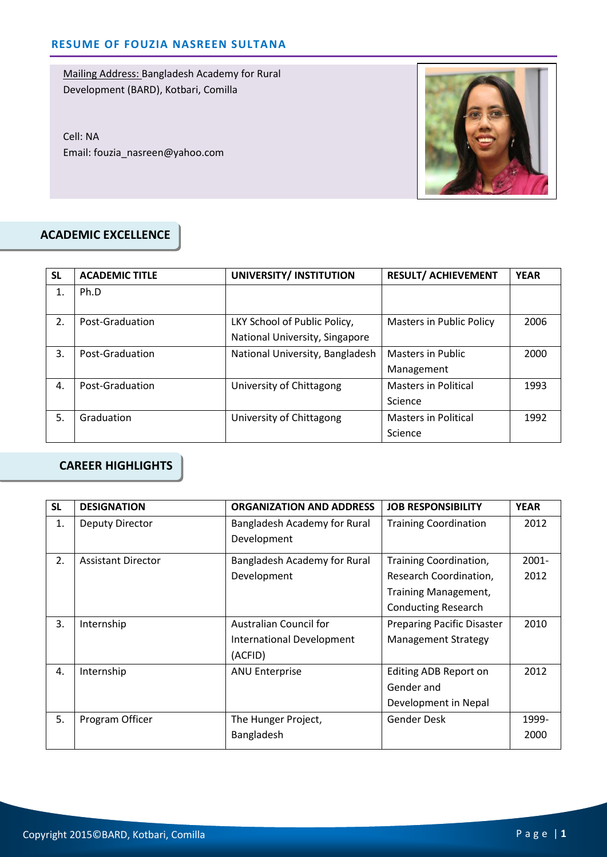Cell: NA Email: fouzia\_nasreen@yahoo.com



#### **ACADEMIC EXCELLENCE**

| <b>SL</b> | <b>ACADEMIC TITLE</b> | UNIVERSITY/ INSTITUTION         | <b>RESULT/ ACHIEVEMENT</b>      | <b>YEAR</b> |
|-----------|-----------------------|---------------------------------|---------------------------------|-------------|
| 1.        | Ph.D                  |                                 |                                 |             |
| 2.        | Post-Graduation       | LKY School of Public Policy,    | <b>Masters in Public Policy</b> | 2006        |
|           |                       | National University, Singapore  |                                 |             |
| 3.        | Post-Graduation       | National University, Bangladesh | <b>Masters in Public</b>        | 2000        |
|           |                       |                                 | Management                      |             |
| 4.        | Post-Graduation       | University of Chittagong        | <b>Masters in Political</b>     | 1993        |
|           |                       |                                 | Science                         |             |
| 5.        | Graduation            | University of Chittagong        | <b>Masters in Political</b>     | 1992        |
|           |                       |                                 | Science                         |             |

# **CAREER HIGHLIGHTS**

| <b>SL</b> | <b>DESIGNATION</b>        | <b>ORGANIZATION AND ADDRESS</b>  | <b>JOB RESPONSIBILITY</b>         | <b>YEAR</b> |
|-----------|---------------------------|----------------------------------|-----------------------------------|-------------|
| 1.        | <b>Deputy Director</b>    | Bangladesh Academy for Rural     | <b>Training Coordination</b>      | 2012        |
|           |                           | Development                      |                                   |             |
| 2.        | <b>Assistant Director</b> | Bangladesh Academy for Rural     | Training Coordination,            | $2001 -$    |
|           |                           | Development                      | Research Coordination,            | 2012        |
|           |                           |                                  | Training Management,              |             |
|           |                           |                                  | <b>Conducting Research</b>        |             |
| 3.        | Internship                | Australian Council for           | <b>Preparing Pacific Disaster</b> | 2010        |
|           |                           | <b>International Development</b> | <b>Management Strategy</b>        |             |
|           |                           | (ACFID)                          |                                   |             |
| 4.        | Internship                | <b>ANU Enterprise</b>            | Editing ADB Report on             | 2012        |
|           |                           |                                  | Gender and                        |             |
|           |                           |                                  | Development in Nepal              |             |
| 5.        | Program Officer           | The Hunger Project,              | Gender Desk                       | 1999-       |
|           |                           | Bangladesh                       |                                   | 2000        |
|           |                           |                                  |                                   |             |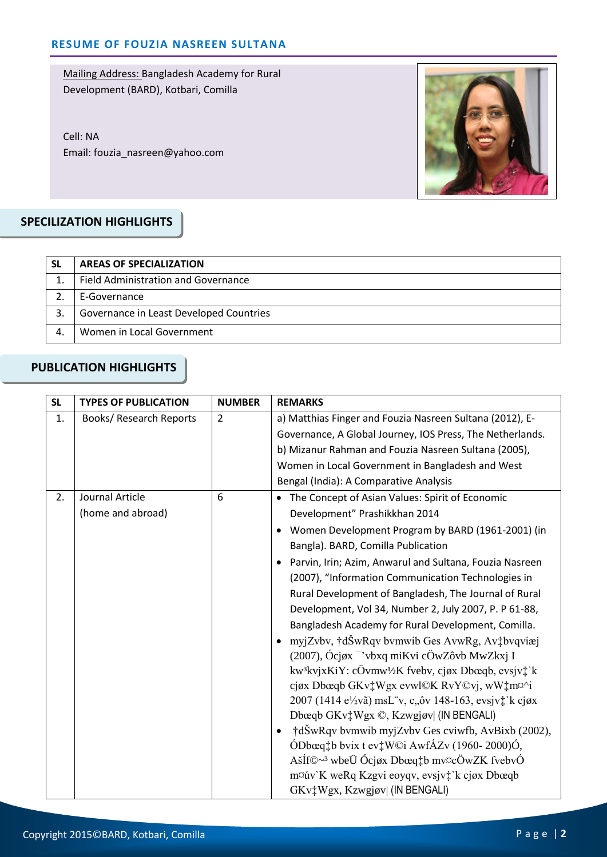Cell: NA Email: fouzia\_nasreen@yahoo.com



## **SPECILIZATION HIGHLIGHTS**

| <b>SL</b> | <b>AREAS OF SPECIALIZATION</b>             |
|-----------|--------------------------------------------|
|           | <b>Field Administration and Governance</b> |
|           | E-Governance                               |
| 3.        | Governance in Least Developed Countries    |
|           | Women in Local Government                  |

#### **PUBLICATION HIGHLIGHTS**

| <b>SL</b> | <b>TYPES OF PUBLICATION</b>    | <b>NUMBER</b>  | <b>REMARKS</b>                                                              |
|-----------|--------------------------------|----------------|-----------------------------------------------------------------------------|
| 1.        | <b>Books/ Research Reports</b> | $\overline{2}$ | a) Matthias Finger and Fouzia Nasreen Sultana (2012), E-                    |
|           |                                |                | Governance, A Global Journey, IOS Press, The Netherlands.                   |
|           |                                |                | b) Mizanur Rahman and Fouzia Nasreen Sultana (2005),                        |
|           |                                |                | Women in Local Government in Bangladesh and West                            |
|           |                                |                | Bengal (India): A Comparative Analysis                                      |
| 2.        | Journal Article                | 6              | • The Concept of Asian Values: Spirit of Economic                           |
|           | (home and abroad)              |                | Development" Prashikkhan 2014                                               |
|           |                                |                | Women Development Program by BARD (1961-2001) (in                           |
|           |                                |                | Bangla). BARD, Comilla Publication                                          |
|           |                                |                | Parvin, Irin; Azim, Anwarul and Sultana, Fouzia Nasreen                     |
|           |                                |                | (2007), "Information Communication Technologies in                          |
|           |                                |                | Rural Development of Bangladesh, The Journal of Rural                       |
|           |                                |                | Development, Vol 34, Number 2, July 2007, P. P 61-88,                       |
|           |                                |                | Bangladesh Academy for Rural Development, Comilla.                          |
|           |                                |                | • myjZvbv, †dŠwRqv bvmwib Ges AvwRg, Av‡bvqviæj                             |
|           |                                |                | $(2007)$ , Ócjøx <sup>-</sup> 'vbxq miKvi cÖwZôvb MwZkxj I                  |
|           |                                |                | kw <sup>3</sup> kvjxKiY: cÖvmw <sup>1</sup> /2K fvebv, cjøx Dbœqb, evsjv‡`k |
|           |                                |                | cjøx Dbœqb GKv <sup>+</sup> Wgx evwl©K RvY©vj, wW <sup>+</sup> m¤^i         |
|           |                                |                | 2007 (1414 e½vã) msL v, c, ôv 148-163, evsjv‡ k cjøx                        |
|           |                                |                | Dbœqb GKv <sup>†</sup> Wgx ©, Kzwgjøv  (IN BENGALI)                         |
|           |                                |                | †dŠwRqv bvmwib myjZvbv Ges cviwfb, AvBixb (2002),                           |
|           |                                |                | ÓDbœq‡b bvix t ev‡W©i AwfÁZv (1960-2000)Ó,                                  |
|           |                                |                | AšÍf©~ <sup>3</sup> wbeÜ Ócjøx Dbœq‡b mv¤cÖwZK fvebvÓ                       |
|           |                                |                | m¤úv`K weRq Kzgvi eoyqv, evsjv‡`k cjøx Dbœqb                                |
|           |                                |                | GKv <sup>+</sup> Wgx, Kzwgjøv  (IN BENGALI)                                 |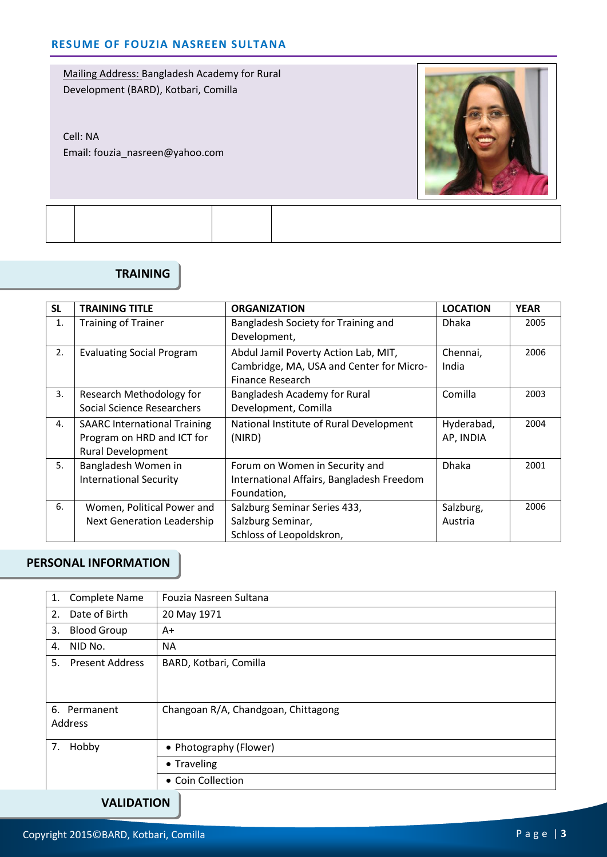Cell: NA Email: fouzia\_nasreen@yahoo.com



## **TRAINING**

| <b>SL</b>      | <b>TRAINING TITLE</b>               | <b>ORGANIZATION</b>                       | <b>LOCATION</b> | <b>YEAR</b> |
|----------------|-------------------------------------|-------------------------------------------|-----------------|-------------|
| 1.             | <b>Training of Trainer</b>          | Bangladesh Society for Training and       | <b>Dhaka</b>    | 2005        |
|                |                                     | Development,                              |                 |             |
| 2.             | <b>Evaluating Social Program</b>    | Abdul Jamil Poverty Action Lab, MIT,      | Chennai,        | 2006        |
|                |                                     | Cambridge, MA, USA and Center for Micro-  | India           |             |
|                |                                     | Finance Research                          |                 |             |
| 3.             | Research Methodology for            | Bangladesh Academy for Rural              | Comilla         | 2003        |
|                | <b>Social Science Researchers</b>   | Development, Comilla                      |                 |             |
| $\mathbf{4}$ . | <b>SAARC International Training</b> | National Institute of Rural Development   | Hyderabad,      | 2004        |
|                | Program on HRD and ICT for          | (NIRD)                                    | AP, INDIA       |             |
|                | <b>Rural Development</b>            |                                           |                 |             |
| 5.             | Bangladesh Women in                 | Forum on Women in Security and            | <b>Dhaka</b>    | 2001        |
|                | <b>International Security</b>       | International Affairs, Bangladesh Freedom |                 |             |
|                |                                     | Foundation,                               |                 |             |
| 6.             | Women, Political Power and          | Salzburg Seminar Series 433,              | Salzburg,       | 2006        |
|                | <b>Next Generation Leadership</b>   | Salzburg Seminar,                         | Austria         |             |
|                |                                     | Schloss of Leopoldskron,                  |                 |             |

## **PERSONAL INFORMATION**

| Complete Name<br>1.          | Fouzia Nasreen Sultana              |  |
|------------------------------|-------------------------------------|--|
| 2.<br>Date of Birth          | 20 May 1971                         |  |
| 3.<br><b>Blood Group</b>     | A+                                  |  |
| NID No.<br>4.                | <b>NA</b>                           |  |
| 5.<br><b>Present Address</b> | BARD, Kotbari, Comilla              |  |
|                              |                                     |  |
|                              |                                     |  |
| 6.<br>Permanent              | Changoan R/A, Chandgoan, Chittagong |  |
| Address                      |                                     |  |
| 7.<br>Hobby                  | • Photography (Flower)              |  |
|                              | • Traveling                         |  |
|                              | • Coin Collection                   |  |
| <b>VALIDATION</b>            |                                     |  |